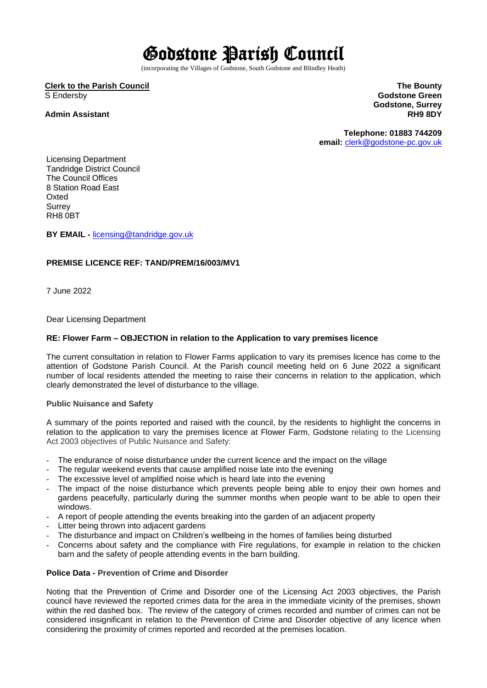# Godstone Parish Council

(incorporating the Villages of Godstone, South Godstone and Blindley Heath)

## **Clerk to the Parish Council** S Endersby

# **Admin Assistant**

**The Bounty Godstone Green Godstone, Surrey RH9 8DY**

**Telephone: 01883 744209 email:** [clerk@godstone-pc.gov.uk](mailto:clerk@godstone-pc.gov.uk)

Licensing Department Tandridge District Council The Council Offices 8 Station Road East Oxted **Surrey** RH8 0BT

**BY EMAIL -** [licensing@tandridge.gov.uk](mailto:licensing@tandridge.gov.uk)

# **PREMISE LICENCE REF: TAND/PREM/16/003/MV1**

7 June 2022

Dear Licensing Department

### **RE: Flower Farm – OBJECTION in relation to the Application to vary premises licence**

The current consultation in relation to Flower Farms application to vary its premises licence has come to the attention of Godstone Parish Council. At the Parish council meeting held on 6 June 2022 a significant number of local residents attended the meeting to raise their concerns in relation to the application, which clearly demonstrated the level of disturbance to the village.

### **Public Nuisance and Safety**

A summary of the points reported and raised with the council, by the residents to highlight the concerns in relation to the application to vary the premises licence at Flower Farm, Godstone relating to the Licensing Act 2003 objectives of Public Nuisance and Safety:

- The endurance of noise disturbance under the current licence and the impact on the village
- The regular weekend events that cause amplified noise late into the evening
- The excessive level of amplified noise which is heard late into the evening
- The impact of the noise disturbance which prevents people being able to enjoy their own homes and gardens peacefully, particularly during the summer months when people want to be able to open their windows.
- A report of people attending the events breaking into the garden of an adjacent property
- Litter being thrown into adjacent gardens
- The disturbance and impact on Children's wellbeing in the homes of families being disturbed
- Concerns about safety and the compliance with Fire regulations, for example in relation to the chicken barn and the safety of people attending events in the barn building.

### **Police Data - Prevention of Crime and Disorder**

Noting that the Prevention of Crime and Disorder one of the Licensing Act 2003 objectives, the Parish council have reviewed the reported crimes data for the area in the immediate vicinity of the premises, shown within the red dashed box. The review of the category of crimes recorded and number of crimes can not be considered insignificant in relation to the Prevention of Crime and Disorder objective of any licence when considering the proximity of crimes reported and recorded at the premises location.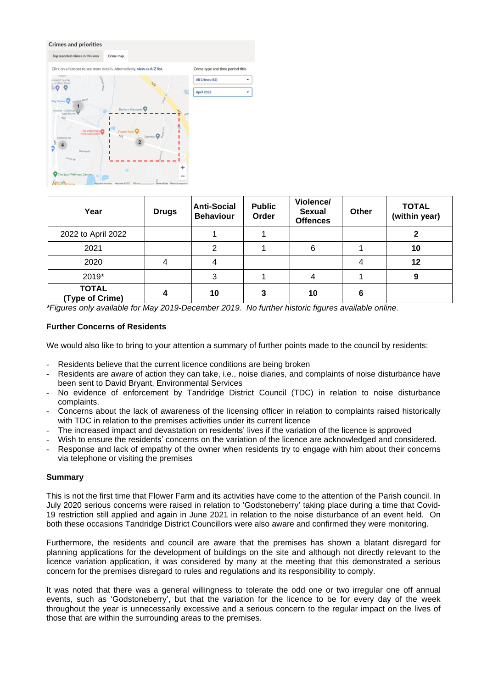#### **Crimes and priorities**



| Year                            | <b>Drugs</b> | <b>Anti-Social</b><br><b>Behaviour</b> | <b>Public</b><br>Order | Violence/<br><b>Sexual</b><br><b>Offences</b> | <b>Other</b> | <b>TOTAL</b><br>(within year) |
|---------------------------------|--------------|----------------------------------------|------------------------|-----------------------------------------------|--------------|-------------------------------|
| 2022 to April 2022              |              |                                        |                        |                                               |              |                               |
| 2021                            |              | າ                                      |                        | 6                                             |              | 10                            |
| 2020                            | 4            | 4                                      |                        |                                               |              | 12                            |
| 2019*                           |              | 3                                      |                        |                                               |              | 9                             |
| <b>TOTAL</b><br>(Type of Crime) |              | 10                                     | 3                      | 10                                            | 6            |                               |

*\*Figures only available for May 2019-December 2019. No further historic figures available online.*

### **Further Concerns of Residents**

We would also like to bring to your attention a summary of further points made to the council by residents:

- Residents believe that the current licence conditions are being broken
- Residents are aware of action they can take, i.e., noise diaries, and complaints of noise disturbance have been sent to David Bryant, Environmental Services
- No evidence of enforcement by Tandridge District Council (TDC) in relation to noise disturbance complaints.
- Concerns about the lack of awareness of the licensing officer in relation to complaints raised historically with TDC in relation to the premises activities under its current licence
- The increased impact and devastation on residents' lives if the variation of the licence is approved
- Wish to ensure the residents' concerns on the variation of the licence are acknowledged and considered.
- Response and lack of empathy of the owner when residents try to engage with him about their concerns via telephone or visiting the premises

### **Summary**

This is not the first time that Flower Farm and its activities have come to the attention of the Parish council. In July 2020 serious concerns were raised in relation to 'Godstoneberry' taking place during a time that Covid-19 restriction still applied and again in June 2021 in relation to the noise disturbance of an event held. On both these occasions Tandridge District Councillors were also aware and confirmed they were monitoring.

Furthermore, the residents and council are aware that the premises has shown a blatant disregard for planning applications for the development of buildings on the site and although not directly relevant to the licence variation application, it was considered by many at the meeting that this demonstrated a serious concern for the premises disregard to rules and regulations and its responsibility to comply.

It was noted that there was a general willingness to tolerate the odd one or two irregular one off annual events, such as 'Godstoneberry', but that the variation for the licence to be for every day of the week throughout the year is unnecessarily excessive and a serious concern to the regular impact on the lives of those that are within the surrounding areas to the premises.